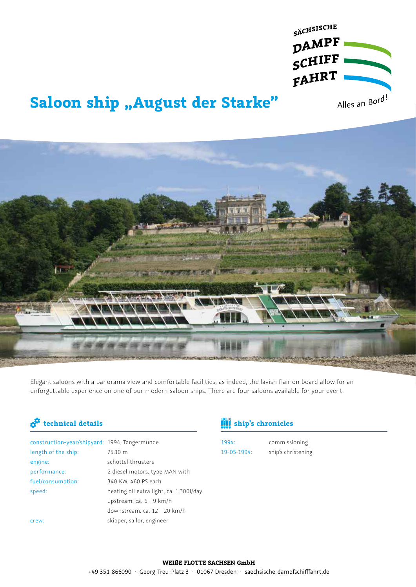

# **Saloon ship "August der Starke"**



Elegant saloons with a panorama view and comfortable facilities, as indeed, the lavish flair on board allow for an unforgettable experience on one of our modern saloon ships. There are four saloons available for your event.

| construction-year/shipyard: 1994, Tangermünde |                                         |
|-----------------------------------------------|-----------------------------------------|
| length of the ship:                           | 75.10 m                                 |
| engine:                                       | schottel thrusters                      |
| performance:                                  | 2 diesel motors, type MAN with          |
| fuel/consumption:                             | 340 KW, 460 PS each                     |
| speed:                                        | heating oil extra light, ca. 1.300l/day |
|                                               | upstream: ca. 6 - 9 km/h                |
|                                               | downstream: ca. 12 - 20 km/h            |
| crew:                                         | skipper, sailor, engineer               |
|                                               |                                         |

### **technical details ship's chronicles**

1994: 19-05-1994:

commissioning ship's christening